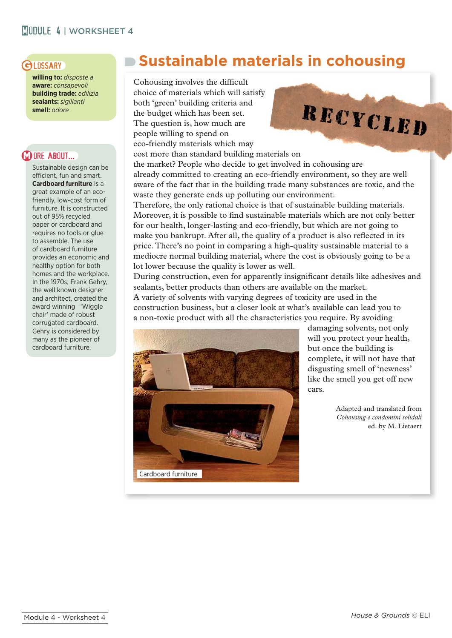# **MODULE 4 | WORKSHEET 4**

## **GLOSSARY**

**willing to:** *disposte a* **aware:** *consapevoli* **building trade:** *edilizia* **sealants:** *sigillanti* **smell:** *odore*

# **WORE ABOUT...**

Sustainable design can be efficient, fun and smart. **Cardboard furniture** is a great example of an ecofriendly, low-cost form of furniture. It is constructed out of 95% recycled paper or cardboard and requires no tools or glue to assemble. The use of cardboard furniture provides an economic and healthy option for both homes and the workplace. In the 1970s, Frank Gehry, the well known designer and architect, created the award winning 'Wiggle chair' made of robust corrugated cardboard. Gehry is considered by many as the pioneer of cardboard furniture.

# **Sustainable materials in cohousing**

Cohousing involves the difficult choice of materials which will satisfy both 'green' building criteria and the budget which has been set. The question is, how much are people willing to spend on eco-friendly materials which may cost more than standard building materials on



the market? People who decide to get involved in cohousing are already committed to creating an eco-friendly environment, so they are well aware of the fact that in the building trade many substances are toxic, and the waste they generate ends up polluting our environment.

Therefore, the only rational choice is that of sustainable building materials. Moreover, it is possible to find sustainable materials which are not only better for our health, longer-lasting and eco-friendly, but which are not going to make you bankrupt. After all, the quality of a product is also reflected in its price. There's no point in comparing a high-quality sustainable material to a mediocre normal building material, where the cost is obviously going to be a lot lower because the quality is lower as well.

During construction, even for apparently insignificant details like adhesives and sealants, better products than others are available on the market.

A variety of solvents with varying degrees of toxicity are used in the construction business, but a closer look at what's available can lead you to a non-toxic product with all the characteristics you require. By avoiding



damaging solvents, not only will you protect your health, but once the building is complete, it will not have that disgusting smell of 'newness' like the smell you get off new cars.

> Adapted and translated from *Cohousing e condomini solidali* ed. by M. Lietaert